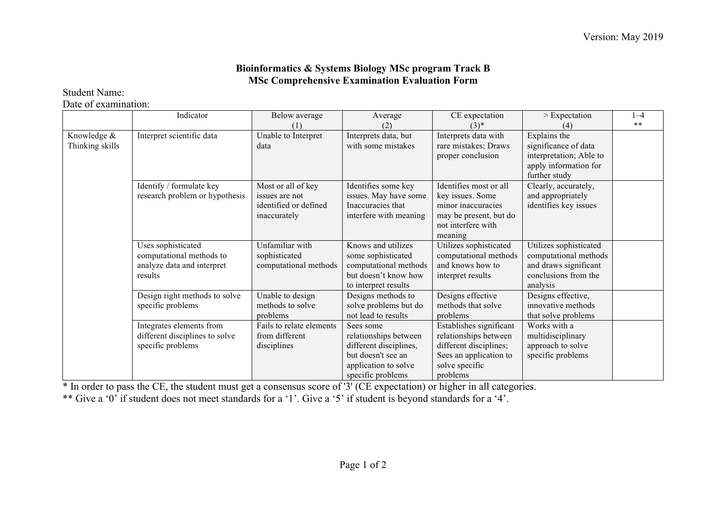## **Bioinformatics & Systems Biology MSc program Track B MSc Comprehensive Examination Evaluation Form**

Student Name:

Date of examination:

|                 | Indicator                      | Below average            | Average                | CE expectation          | $>$ Expectation         | $1 - 4$ |
|-----------------|--------------------------------|--------------------------|------------------------|-------------------------|-------------------------|---------|
|                 |                                |                          | (2)                    | $(3)^*$                 |                         | $***$   |
| Knowledge &     | Interpret scientific data      | Unable to Interpret      | Interprets data, but   | Interprets data with    | Explains the            |         |
| Thinking skills |                                | data                     | with some mistakes     | rare mistakes; Draws    | significance of data    |         |
|                 |                                |                          |                        | proper conclusion       | interpretation; Able to |         |
|                 |                                |                          |                        |                         | apply information for   |         |
|                 |                                |                          |                        |                         | further study           |         |
|                 | Identify / formulate key       | Most or all of key       | Identifies some key    | Identifies most or all  | Clearly, accurately,    |         |
|                 | research problem or hypothesis | issues are not           | issues. May have some  | key issues. Some        | and appropriately       |         |
|                 |                                | identified or defined    | Inaccuracies that      | minor inaccuracies      | identifies key issues   |         |
|                 |                                | inaccurately             | interfere with meaning | may be present, but do  |                         |         |
|                 |                                |                          |                        | not interfere with      |                         |         |
|                 |                                |                          |                        | meaning                 |                         |         |
|                 | Uses sophisticated             | Unfamiliar with          | Knows and utilizes     | Utilizes sophisticated  | Utilizes sophisticated  |         |
|                 | computational methods to       | sophisticated            | some sophisticated     | computational methods   | computational methods   |         |
|                 | analyze data and interpret     | computational methods    | computational methods  | and knows how to        | and draws significant   |         |
|                 | results                        |                          | but doesn't know how   | interpret results       | conclusions from the    |         |
|                 |                                |                          | to interpret results   |                         | analysis                |         |
|                 | Design right methods to solve  | Unable to design         | Designs methods to     | Designs effective       | Designs effective,      |         |
|                 | specific problems              | methods to solve         | solve problems but do  | methods that solve      | innovative methods      |         |
|                 |                                | problems                 | not lead to results    | problems                | that solve problems     |         |
|                 | Integrates elements from       | Fails to relate elements | Sees some              | Establishes significant | Works with a            |         |
|                 | different disciplines to solve | from different           | relationships between  | relationships between   | multidisciplinary       |         |
|                 | specific problems              | disciplines              | different disciplines, | different disciplines;  | approach to solve       |         |
|                 |                                |                          | but doesn't see an     | Sees an application to  | specific problems       |         |
|                 |                                |                          | application to solve   | solve specific          |                         |         |
|                 |                                |                          | specific problems      | problems                |                         |         |

\* In order to pass the CE, the student must get a consensus score of '3' (CE expectation) or higher in all categories.

\*\* Give a '0' if student does not meet standards for a '1'. Give a '5' if student is beyond standards for a '4'.